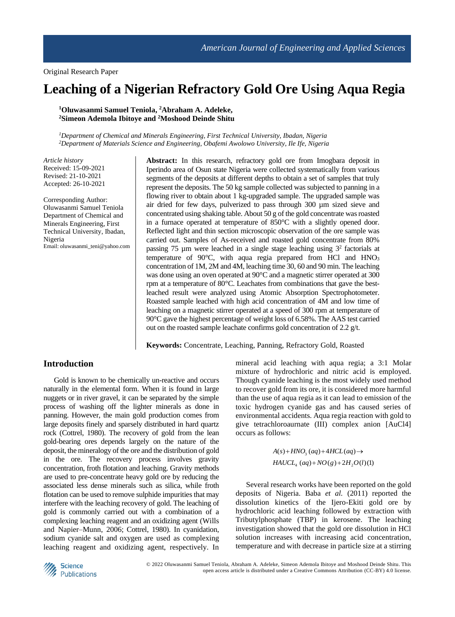# **Leaching of a Nigerian Refractory Gold Ore Using Aqua Regia**

**<sup>1</sup>Oluwasanmi Samuel Teniola, <sup>2</sup>Abraham A. Adeleke, <sup>2</sup>Simeon Ademola Ibitoye and <sup>2</sup>Moshood Deinde Shitu**

*<sup>1</sup>Department of Chemical and Minerals Engineering, First Technical University, Ibadan, Nigeria <sup>2</sup>Department of Materials Science and Engineering, Obafemi Awolowo University, Ile Ife, Nigeria*

*Article history* Received: 15-09-2021 Revised: 21-10-2021 Accepted: 26-10-2021

Corresponding Author: Oluwasanmi Samuel Teniola Department of Chemical and Minerals Engineering, First Technical University, Ibadan, Nigeria Email: oluwasanmi\_teni@yahoo.com **Abstract:** In this research, refractory gold ore from Imogbara deposit in Iperindo area of Osun state Nigeria were collected systematically from various segments of the deposits at different depths to obtain a set of samples that truly represent the deposits. The 50 kg sample collected was subjected to panning in a flowing river to obtain about 1 kg-upgraded sample. The upgraded sample was air dried for few days, pulverized to pass through 300 µm sized sieve and concentrated using shaking table. About 50 g of the gold concentrate was roasted in a furnace operated at temperature of 850°C with a slightly opened door. Reflected light and thin section microscopic observation of the ore sample was carried out. Samples of As-received and roasted gold concentrate from 80% passing 75 µm were leached in a single stage leaching using  $3^2$  factorials at temperature of 90 $^{\circ}$ C, with aqua regia prepared from HCl and HNO<sub>3</sub> concentration of 1M, 2M and 4M, leaching time 30, 60 and 90 min. The leaching was done using an oven operated at 90°C and a magnetic stirrer operated at 300 rpm at a temperature of 80°C. Leachates from combinations that gave the bestleached result were analyzed using Atomic Absorption Spectrophotometer. Roasted sample leached with high acid concentration of 4M and low time of leaching on a magnetic stirrer operated at a speed of 300 rpm at temperature of 90°C gave the highest percentage of weight loss of 6.58%. The AAS test carried out on the roasted sample leachate confirms gold concentration of 2.2 g/t.

**Keywords:** Concentrate, Leaching, Panning, Refractory Gold, Roasted

# **Introduction**

Gold is known to be chemically un-reactive and occurs naturally in the elemental form. When it is found in large nuggets or in river gravel, it can be separated by the simple process of washing off the lighter minerals as done in panning. However, the main gold production comes from large deposits finely and sparsely distributed in hard quartz rock (Cottrel, 1980). The recovery of gold from the lean gold-bearing ores depends largely on the nature of the deposit, the mineralogy of the ore and the distribution of gold in the ore. The recovery process involves gravity concentration, froth flotation and leaching. Gravity methods are used to pre-concentrate heavy gold ore by reducing the associated less dense minerals such as silica, while froth flotation can be used to remove sulphide impurities that may interfere with the leaching recovery of gold. The leaching of gold is commonly carried out with a combination of a complexing leaching reagent and an oxidizing agent (Wills and Napier–Munn, 2006; Cottrel, 1980). In cyanidation, sodium cyanide salt and oxygen are used as complexing leaching reagent and oxidizing agent, respectively. In

mineral acid leaching with aqua regia; a 3:1 Molar mixture of hydrochloric and nitric acid is employed. Though cyanide leaching is the most widely used method to recover gold from its ore, it is considered more harmful than the use of aqua regia as it can lead to emission of the toxic hydrogen cyanide gas and has caused series of environmental accidents. Aqua regia reaction with gold to give tetrachloroaurnate (III) complex anion [AuCl4] occurs as follows:

> $A(s)$  +  $HNO<sub>3</sub>(aq)$  +  $4HCL(aq)$   $\rightarrow$  $HAUCL<sub>4</sub> (aq) + NO(g) + 2H<sub>2</sub>O(l)(1)$

Several research works have been reported on the gold deposits of Nigeria. Baba *et al.* (2011) reported the dissolution kinetics of the Ijero-Ekiti gold ore by hydrochloric acid leaching followed by extraction with Tributylphosphate (TBP) in kerosene. The leaching investigation showed that the gold ore dissolution in HCl solution increases with increasing acid concentration, temperature and with decrease in particle size at a stirring

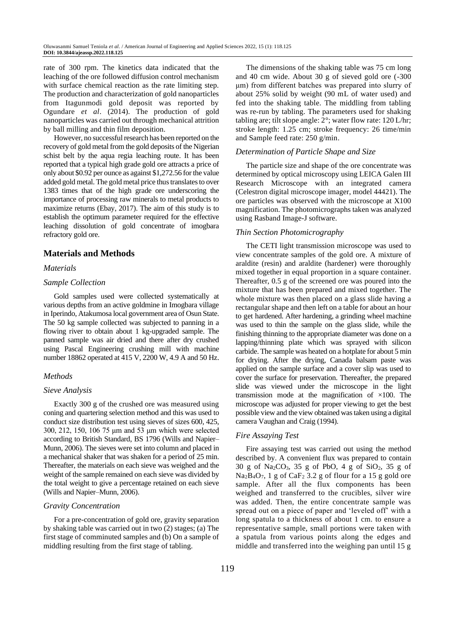rate of 300 rpm. The kinetics data indicated that the leaching of the ore followed diffusion control mechanism with surface chemical reaction as the rate limiting step. The production and characterization of gold nanoparticles from Itagunmodi gold deposit was reported by Ogundare *et al*. (2014). The production of gold nanoparticles was carried out through mechanical attrition by ball milling and thin film deposition.

However, no successful research has been reported on the recovery of gold metal from the gold deposits of the Nigerian schist belt by the aqua regia leaching route. It has been reported that a typical high grade gold ore attracts a price of only about \$0.92 per ounce as against \$1,272.56 for the value added gold metal. The gold metal price thus translates to over 1383 times that of the high grade ore underscoring the importance of processing raw minerals to metal products to maximize returns (Ebay, 2017). The aim of this study is to establish the optimum parameter required for the effective leaching dissolution of gold concentrate of imogbara refractory gold ore.

# **Materials and Methods**

## *Materials*

#### *Sample Collection*

Gold samples used were collected systematically at various depths from an active goldmine in Imogbara village in Iperindo, Atakumosa local government area of Osun State. The 50 kg sample collected was subjected to panning in a flowing river to obtain about 1 kg-upgraded sample. The panned sample was air dried and there after dry crushed using Pascal Engineering crushing mill with machine number 18862 operated at 415 V, 2200 W, 4.9 A and 50 Hz.

# *Methods*

#### *Sieve Analysis*

Exactly 300 g of the crushed ore was measured using coning and quartering selection method and this was used to conduct size distribution test using sieves of sizes 600, 425, 300, 212, 150, 106 75 μm and 53 μm which were selected according to British Standard, BS 1796 (Wills and Napier– Munn, 2006). The sieves were set into column and placed in a mechanical shaker that was shaken for a period of 25 min. Thereafter, the materials on each sieve was weighed and the weight of the sample remained on each sieve was divided by the total weight to give a percentage retained on each sieve (Wills and Napier–Munn, 2006).

#### *Gravity Concentration*

For a pre-concentration of gold ore, gravity separation by shaking table was carried out in two (2) stages; (a) The first stage of comminuted samples and (b) On a sample of middling resulting from the first stage of tabling.

The dimensions of the shaking table was 75 cm long and 40 cm wide. About 30 g of sieved gold ore (-300 μm) from different batches was prepared into slurry of about 25% solid by weight (90 mL of water used) and fed into the shaking table. The middling from tabling was re-run by tabling. The parameters used for shaking tabling are; tilt slope angle: 2°; water flow rate: 120 L/hr; stroke length: 1.25 cm; stroke frequency: 26 time/min and Sample feed rate: 250 g/min.

# *Determination of Particle Shape and Size*

The particle size and shape of the ore concentrate was determined by optical microscopy using LEICA Galen III Research Microscope with an integrated camera (Celestron digital microscope imager, model 44421). The ore particles was observed with the microscope at X100 magnification. The photomicrographs taken was analyzed using Rasband Image-J software.

## *Thin Section Photomicrography*

The CETI light transmission microscope was used to view concentrate samples of the gold ore. A mixture of araldite (resin) and araldite (hardener) were thoroughly mixed together in equal proportion in a square container. Thereafter, 0.5 g of the screened ore was poured into the mixture that has been prepared and mixed together. The whole mixture was then placed on a glass slide having a rectangular shape and then left on a table for about an hour to get hardened. After hardening, a grinding wheel machine was used to thin the sample on the glass slide, while the finishing thinning to the appropriate diameter was done on a lapping/thinning plate which was sprayed with silicon carbide. The sample was heated on a hotplate for about 5 min for drying. After the drying, Canada balsam paste was applied on the sample surface and a cover slip was used to cover the surface for preservation. Thereafter, the prepared slide was viewed under the microscope in the light transmission mode at the magnification of  $\times 100$ . The microscope was adjusted for proper viewing to get the best possible view and the view obtained was taken using a digital camera Vaughan and Craig (1994).

#### *Fire Assaying Test*

Fire assaying test was carried out using the method described by. A convenient flux was prepared to contain  $30$  g of Na<sub>2</sub>CO<sub>3</sub>,  $35$  g of PbO,  $4$  g of SiO<sub>2</sub>,  $35$  g of  $Na<sub>2</sub>B<sub>4</sub>O<sub>7</sub>$ , 1 g of CaF<sub>2</sub> 3.2 g of flour for a 15 g gold ore sample. After all the flux components has been weighed and transferred to the crucibles, silver wire was added. Then, the entire concentrate sample was spread out on a piece of paper and 'leveled off' with a long spatula to a thickness of about 1 cm. to ensure a representative sample, small portions were taken with a spatula from various points along the edges and middle and transferred into the weighing pan until 15 g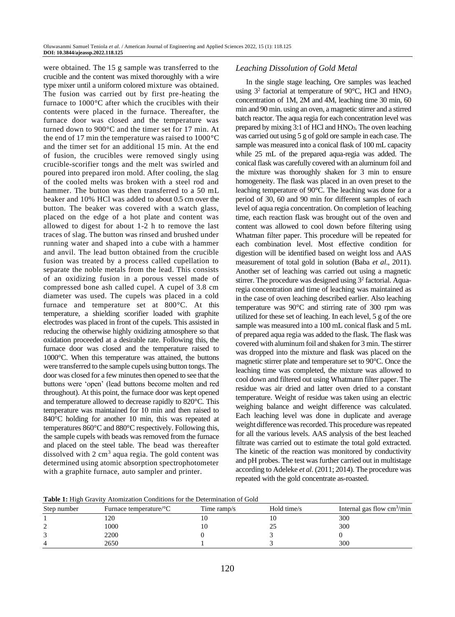were obtained. The 15 g sample was transferred to the crucible and the content was mixed thoroughly with a wire type mixer until a uniform colored mixture was obtained. The fusion was carried out by first pre-heating the furnace to 1000°C after which the crucibles with their contents were placed in the furnace. Thereafter, the furnace door was closed and the temperature was turned down to 900°C and the timer set for 17 min. At the end of 17 min the temperature was raised to 1000°C and the timer set for an additional 15 min. At the end of fusion, the crucibles were removed singly using crucible-scorifier tongs and the melt was swirled and poured into prepared iron mold. After cooling, the slag of the cooled melts was broken with a steel rod and hammer. The button was then transferred to a 50 mL beaker and 10% HCl was added to about 0.5 cm over the button. The beaker was covered with a watch glass, placed on the edge of a hot plate and content was allowed to digest for about 1-2 h to remove the last traces of slag. The button was rinsed and brushed under running water and shaped into a cube with a hammer and anvil. The lead button obtained from the crucible fusion was treated by a process called cupellation to separate the noble metals from the lead. This consists of an oxidizing fusion in a porous vessel made of compressed bone ash called cupel. A cupel of 3.8 cm diameter was used. The cupels was placed in a cold furnace and temperature set at 800°C. At this temperature, a shielding scorifier loaded with graphite electrodes was placed in front of the cupels. This assisted in reducing the otherwise highly oxidizing atmosphere so that oxidation proceeded at a desirable rate. Following this, the furnace door was closed and the temperature raised to 1000°C. When this temperature was attained, the buttons were transferred to the sample cupels using button tongs. The door was closed for a few minutes then opened to see that the buttons were 'open' (lead buttons become molten and red throughout). At this point, the furnace door was kept opened and temperature allowed to decrease rapidly to 820°C. This temperature was maintained for 10 min and then raised to 840<sup>o</sup>C holding for another 10 min, this was repeated at temperatures 860°C and 880°C respectively. Following this, the sample cupels with beads was removed from the furnace and placed on the steel table. The bead was thereafter dissolved with  $2 \text{ cm}^3$  aqua regia. The gold content was determined using atomic absorption spectrophotometer with a graphite furnace, auto sampler and printer.

# *Leaching Dissolution of Gold Metal*

In the single stage leaching, Ore samples was leached using  $3^2$  factorial at temperature of 90°C, HCl and HNO<sub>3</sub> concentration of 1M, 2M and 4M, leaching time 30 min, 60 min and 90 min. using an oven, a magnetic stirrer and a stirred batch reactor. The aqua regia for each concentration level was prepared by mixing 3:1 of HCl and HNO<sub>3</sub>. The oven leaching was carried out using 5 g of gold ore sample in each case. The sample was measured into a conical flask of 100 mL capacity while 25 mL of the prepared aqua-regia was added. The conical flask was carefully covered with an aluminum foil and the mixture was thoroughly shaken for 3 min to ensure homogeneity. The flask was placed in an oven preset to the leaching temperature of 90°C. The leaching was done for a period of 30, 60 and 90 min for different samples of each level of aqua regia concentration. On completion of leaching time, each reaction flask was brought out of the oven and content was allowed to cool down before filtering using Whatman filter paper. This procedure will be repeated for each combination level. Most effective condition for digestion will be identified based on weight loss and AAS measurement of total gold in solution (Baba *et al*., 2011). Another set of leaching was carried out using a magnetic stirrer. The procedure was designed using 3<sup>2</sup> factorial. Aquaregia concentration and time of leaching was maintained as in the case of oven leaching described earlier. Also leaching temperature was 90°C and stirring rate of 300 rpm was utilized for these set of leaching. In each level, 5 g of the ore sample was measured into a 100 mL conical flask and 5 mL of prepared aqua regia was added to the flask. The flask was covered with aluminum foil and shaken for 3 min. The stirrer was dropped into the mixture and flask was placed on the magnetic stirrer plate and temperature set to 90°C. Once the leaching time was completed, the mixture was allowed to cool down and filtered out using Whatmann filter paper. The residue was air dried and latter oven dried to a constant temperature. Weight of residue was taken using an electric weighing balance and weight difference was calculated. Each leaching level was done in duplicate and average weight difference was recorded. This procedure was repeated for all the various levels. AAS analysis of the best leached filtrate was carried out to estimate the total gold extracted. The kinetic of the reaction was monitored by conductivity and pH probes. The test was further carried out in multistage according to Adeleke *et al*. (2011; 2014). The procedure was repeated with the gold concentrate as-roasted.

**Table 1:** High Gravity Atomization Conditions for the Determination of Gold

|             | <b>Tuble 11</b> in the case of the condition conditions for the Determination of Gord |             |             |                                            |  |  |  |  |  |
|-------------|---------------------------------------------------------------------------------------|-------------|-------------|--------------------------------------------|--|--|--|--|--|
| Step number | Furnace temperature/ $\rm ^{\circ}C$                                                  | Time ramp/s | Hold time/s | Internal gas flow $\text{cm}^3/\text{min}$ |  |  |  |  |  |
|             |                                                                                       |             |             | 300                                        |  |  |  |  |  |
|             | 1000                                                                                  |             | ۷           | 300                                        |  |  |  |  |  |
|             | 2200                                                                                  |             |             |                                            |  |  |  |  |  |
|             | 2650                                                                                  |             |             | 300                                        |  |  |  |  |  |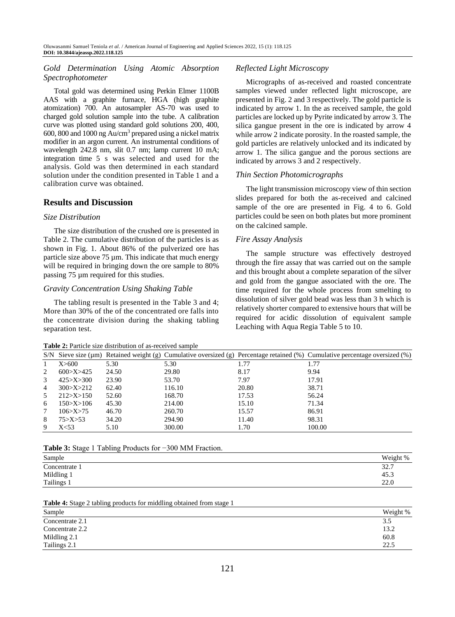# *Gold Determination Using Atomic Absorption Spectrophotometer*

Total gold was determined using Perkin Elmer 1100B AAS with a graphite furnace, HGA (high graphite atomization) 700. An autosampler AS-70 was used to charged gold solution sample into the tube. A calibration curve was plotted using standard gold solutions 200, 400, 600, 800 and 1000 ng Au/cm<sup>3</sup> prepared using a nickel matrix modifier in an argon current. An instrumental conditions of wavelength 242.8 nm, slit 0.7 nm; lamp current 10 mA; integration time 5 s was selected and used for the analysis. Gold was then determined in each standard solution under the condition presented in Table 1 and a calibration curve was obtained.

# **Results and Discussion**

## *Size Distribution*

The size distribution of the crushed ore is presented in Table 2. The cumulative distribution of the particles is as shown in Fig. 1. About 86% of the pulverized ore has particle size above 75 µm. This indicate that much energy will be required in bringing down the ore sample to  $80\%$ passing 75 µm required for this studies.

## *Gravity Concentration Using Shaking Table*

The tabling result is presented in the Table 3 and 4; More than 30% of the of the concentrated ore falls into the concentrate division during the shaking tabling separation test.

#### **Table 2:** Particle size distribution of as-received sample

# *Reflected Light Microscopy*

Micrographs of as-received and roasted concentrate samples viewed under reflected light microscope, are presented in Fig. 2 and 3 respectively. The gold particle is indicated by arrow 1. In the as received sample, the gold particles are locked up by Pyrite indicated by arrow 3. The silica gangue present in the ore is indicated by arrow 4 while arrow 2 indicate porosity. In the roasted sample, the gold particles are relatively unlocked and its indicated by arrow 1. The silica gangue and the porous sections are indicated by arrows 3 and 2 respectively.

## *Thin Section Photomicrographs*

The light transmission microscopy view of thin section slides prepared for both the as-received and calcined sample of the ore are presented in Fig. 4 to 6. Gold particles could be seen on both plates but more prominent on the calcined sample.

## *Fire Assay Analysis*

The sample structure was effectively destroyed through the fire assay that was carried out on the sample and this brought about a complete separation of the silver and gold from the gangue associated with the ore. The time required for the whole process from smelting to dissolution of silver gold bead was less than 3 h which is relatively shorter compared to extensive hours that will be required for acidic dissolution of equivalent sample Leaching with Aqua Regia Table 5 to 10.

|                |               |       |        |       | S/N Sieve size ( $\mu$ m) Retained weight (g) Cumulative oversized (g) Percentage retained (%) Cumulative percentage oversized (%) |
|----------------|---------------|-------|--------|-------|------------------------------------------------------------------------------------------------------------------------------------|
|                | X>600         | 5.30  | 5.30   | 1.77  | 1.77                                                                                                                               |
| 2              | 600 > X > 425 | 24.50 | 29.80  | 8.17  | 9.94                                                                                                                               |
| 3              | 425 > X > 300 | 23.90 | 53.70  | 7.97  | 17.91                                                                                                                              |
| $\overline{4}$ | 300 > X > 212 | 62.40 | 116.10 | 20.80 | 38.71                                                                                                                              |
| 5              | 212 > X > 150 | 52.60 | 168.70 | 17.53 | 56.24                                                                                                                              |
| 6              | 150 > X > 106 | 45.30 | 214.00 | 15.10 | 71.34                                                                                                                              |
| 7              | 106 > X > 75  | 46.70 | 260.70 | 15.57 | 86.91                                                                                                                              |
| 8              | 75 > X > 53   | 34.20 | 294.90 | 11.40 | 98.31                                                                                                                              |
| 9              | X<53          | 5.10  | 300.00 | 1.70  | 100.00                                                                                                                             |

**Table 3:** Stage 1 Tabling Products for −300 ΜM Fraction.

| Sample        | Weight % |
|---------------|----------|
| Concentrate 1 | 32.7     |
| Mildling 1    | 45.3     |
| Tailings 1    | 22.0     |

#### **Table 4:** Stage 2 tabling products for middling obtained from stage 1

| Sample          | Weight % |
|-----------------|----------|
| Concentrate 2.1 | 3.5      |
| Concentrate 2.2 | 13.2     |
| Mildling 2.1    | 60.8     |
| Tailings 2.1    | 22.5     |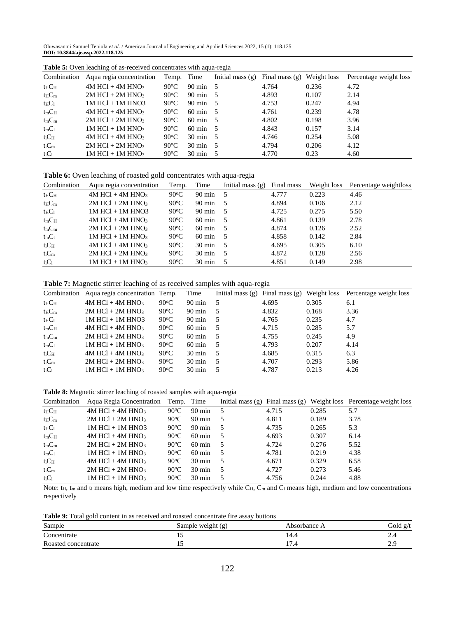Oluwasanmi Samuel Teniola *et al*. / American Journal of Engineering and Applied Sciences 2022, 15 (1): 118.125 **DOI: 10.3844/ajeassp.2022.118.125**

| Combination  | ັ<br>Aqua regia concentration    | Temp.          | Time               | Initial mass $(g)$ | Final mass $(g)$ | Weight loss | Percentage weight loss |
|--------------|----------------------------------|----------------|--------------------|--------------------|------------------|-------------|------------------------|
| $t_H$ $C_H$  | $4M$ HCl + $4M$ HNO <sub>3</sub> | $90^{\circ}$ C | $90 \text{ min}$ 5 |                    | 4.764            | 0.236       | 4.72                   |
| $t_H C_m$    | $2M$ HCl + $2M$ HNO <sub>3</sub> | $90^{\circ}$ C | $90 \text{ min}$ 5 |                    | 4.893            | 0.107       | 2.14                   |
| $t_HC_1$     | $1M$ HCl $+ 1M$ HNO3             | $90^{\circ}$ C | $90 \text{ min}$ 5 |                    | 4.753            | 0.247       | 4.94                   |
| $t_{m}C_{H}$ | $4M$ HCl + $4M$ HNO <sub>3</sub> | $90^{\circ}$ C | $60 \text{ min}$ 5 |                    | 4.761            | 0.239       | 4.78                   |
| $t_mC_m$     | $2M$ HCl + $2M$ HNO <sub>3</sub> | $90^{\circ}$ C | $60 \text{ min}$ 5 |                    | 4.802            | 0.198       | 3.96                   |
| $t_mC_1$     | $1M$ HCl + $1M$ HNO <sub>3</sub> | $90^{\circ}$ C | $60 \text{ min}$ 5 |                    | 4.843            | 0.157       | 3.14                   |
| $t_1C_H$     | $4M$ HCl + $4M$ HNO <sub>3</sub> | $90^{\circ}$ C | $30 \text{ min}$ 5 |                    | 4.746            | 0.254       | 5.08                   |
| $t_lC_m$     | $2M$ HCl + $2M$ HNO <sub>3</sub> | $90^{\circ}$ C | $30 \text{ min}$ 5 |                    | 4.794            | 0.206       | 4.12                   |
| $t_1C_1$     | $1M$ HCl + $1M$ HNO <sub>3</sub> | $90^{\circ}$ C | $30 \text{ min}$ 5 |                    | 4.770            | 0.23        | 4.60                   |

**Table 5:** Oven leaching of as-received concentrates with aqua-regia

**Table 6:** Oven leaching of roasted gold concentrates with aqua-regia

| Combination          | Aqua regia concentration         | Temp.          | Time               | Initial mass $(g)$ | Final mass | Weight loss | Percentage weightloss |
|----------------------|----------------------------------|----------------|--------------------|--------------------|------------|-------------|-----------------------|
| $t_H$ C <sub>H</sub> | $4M$ HCl + $4M$ HNO <sub>3</sub> | $90^{\circ}$ C | $90 \text{ min}$ 5 |                    | 4.777      | 0.223       | 4.46                  |
| $t_H C_m$            | $2M$ HCl + $2M$ HNO <sub>3</sub> | $90^{\circ}$ C | $90 \text{ min}$   |                    | 4.894      | 0.106       | 2.12                  |
| $t_HC_1$             | $1M$ HCl $+ 1M$ HNO3             | $90^{\circ}$ C | 90 min             | - 5                | 4.725      | 0.275       | 5.50                  |
| $t_{\rm m}C_{\rm H}$ | $4M$ HCl + $4M$ HNO <sub>3</sub> | $90^{\circ}$ C | $60 \text{ min}$   |                    | 4.861      | 0.139       | 2.78                  |
| $t_mC_m$             | $2M$ HCl + $2M$ HNO <sub>3</sub> | $90^{\circ}$ C | $60 \text{ min}$   |                    | 4.874      | 0.126       | 2.52                  |
| $t_{m}C_1$           | $1M$ HCl + $1M$ HNO <sub>3</sub> | $90^{\circ}$ C | $60 \text{ min}$   | - 5                | 4.858      | 0.142       | 2.84                  |
| $t_1C_H$             | $4M$ HCl + $4M$ HNO <sub>3</sub> | $90^{\circ}$ C | $30 \text{ min}$   | - 5                | 4.695      | 0.305       | 6.10                  |
| $t_lC_m$             | $2M$ HCl + $2M$ HNO <sub>3</sub> | $90^{\circ}$ C | $30 \text{ min}$   |                    | 4.872      | 0.128       | 2.56                  |
| $t_1C_1$             | $1M$ HCl + $1M$ HNO <sub>3</sub> | $90^{\circ}$ C | $30 \text{ min}$   |                    | 4.851      | 0.149       | 2.98                  |

**Table 7:** Magnetic stirrer leaching of as received samples with aqua-regia

| Combination  | Aqua regia concentration Temp.   |                | Time             | Initial mass $(g)$ Final mass $(g)$ Weight loss |       |       | Percentage weight loss |
|--------------|----------------------------------|----------------|------------------|-------------------------------------------------|-------|-------|------------------------|
| $t_H C_H$    | $4M$ HCl + $4M$ HNO <sub>3</sub> | $90^{\circ}$ C | 90 min           |                                                 | 4.695 | 0.305 | 6.1                    |
| $t_H C_m$    | $2M$ HCl + $2M$ HNO <sub>3</sub> | $90^{\circ}$ C | $90 \text{ min}$ |                                                 | 4.832 | 0.168 | 3.36                   |
| $t_HC_1$     | $1M$ HCl $+ 1M$ HNO3             | $90^{\circ}$ C | $90 \text{ min}$ |                                                 | 4.765 | 0.235 | 4.7                    |
| $t_{m}C_{H}$ | $4M$ HCl + $4M$ HNO <sub>3</sub> | $90^{\circ}$ C | $60 \text{ min}$ |                                                 | 4.715 | 0.285 | 5.7                    |
| $t_{m}C_{m}$ | $2M$ HCl + $2M$ HNO <sub>3</sub> | $90^{\circ}$ C | $60 \text{ min}$ |                                                 | 4.755 | 0.245 | 4.9                    |
| $t_{m}C_{l}$ | $1M$ HCl + $1M$ HNO <sub>3</sub> | $90^{\circ}$ C | $60 \text{ min}$ |                                                 | 4.793 | 0.207 | 4.14                   |
| $t_1C_H$     | $4M$ HCl + $4M$ HNO <sub>3</sub> | $90^{\circ}$ C | $30 \text{ min}$ |                                                 | 4.685 | 0.315 | 6.3                    |
| $t_lC_m$     | $2M$ HCl + $2M$ HNO <sub>3</sub> | $90^{\circ}$ C | $30 \text{ min}$ |                                                 | 4.707 | 0.293 | 5.86                   |
| $t_1C_1$     | $1M$ HCl + $1M$ HNO <sub>3</sub> | $90^{\circ}$ C | $30 \text{ min}$ |                                                 | 4.787 | 0.213 | 4.26                   |

**Table 8:** Magnetic stirrer leaching of roasted samples with aqua-regia

| Combination          | Aqua Regia Concentration Temp. Time |                |                  |     |       |       | Initial mass $(g)$ Final mass $(g)$ Weight loss Percentage weight loss |
|----------------------|-------------------------------------|----------------|------------------|-----|-------|-------|------------------------------------------------------------------------|
| $t_H$ $C_H$          | $4M$ HCl + $4M$ HNO <sub>3</sub>    | $90^{\circ}$ C | $90 \text{ min}$ | - 5 | 4.715 | 0.285 | 5.7                                                                    |
| $t_H C_m$            | $2M$ HCl + $2M$ HNO <sub>3</sub>    | $90^{\circ}$ C | 90 min           | - 5 | 4.811 | 0.189 | 3.78                                                                   |
| $t_HC_1$             | $1M$ HCl $+ 1M$ HNO3                | $90^{\circ}$ C | $90 \text{ min}$ | - 5 | 4.735 | 0.265 | 5.3                                                                    |
| $t_{\rm m}C_{\rm H}$ | $4M$ HCl + $4M$ HNO <sub>3</sub>    | $90^{\circ}$ C | $60 \text{ min}$ | - 5 | 4.693 | 0.307 | 6.14                                                                   |
| $t_mC_m$             | $2M$ HCl + $2M$ HNO <sub>3</sub>    | $90^{\circ}$ C | $60 \text{ min}$ | - 5 | 4.724 | 0.276 | 5.52                                                                   |
| $t_{m}C_1$           | $1M$ HCl + $1M$ HNO <sub>3</sub>    | $90^{\circ}$ C | $60 \text{ min}$ | - 5 | 4.781 | 0.219 | 4.38                                                                   |
| $t_1C_H$             | $4M$ HCl + $4M$ HNO <sub>3</sub>    | $90^{\circ}$ C | $30 \text{ min}$ | - 5 | 4.671 | 0.329 | 6.58                                                                   |
| $t_lC_m$             | $2M$ HCl + $2M$ HNO <sub>3</sub>    | $90^{\circ}$ C | $30 \text{ min}$ | -5  | 4.727 | 0.273 | 5.46                                                                   |
| $t_1C_1$             | $1M$ HCl + $1M$ HNO <sub>3</sub>    | $90^{\circ}$ C | $30 \text{ min}$ | -5  | 4.756 | 0.244 | 4.88                                                                   |

Note:  $t_H$ ,  $t_m$  and  $t_l$  means high, medium and low time respectively while  $C_H$ ,  $C_m$  and  $C_l$  means high, medium and low concentrations respectively

**Table 9:** Total gold content in as received and roasted concentrate fire assay buttons

| Sample              | Sample weight (g) | Absorbance A | Gold $g/t$ |
|---------------------|-------------------|--------------|------------|
| Concentrate         | $\cdot$           | 14.4         | $\sim$     |
| Roasted concentrate | $\cdot$           | ı<br>11.4    | ر و گ      |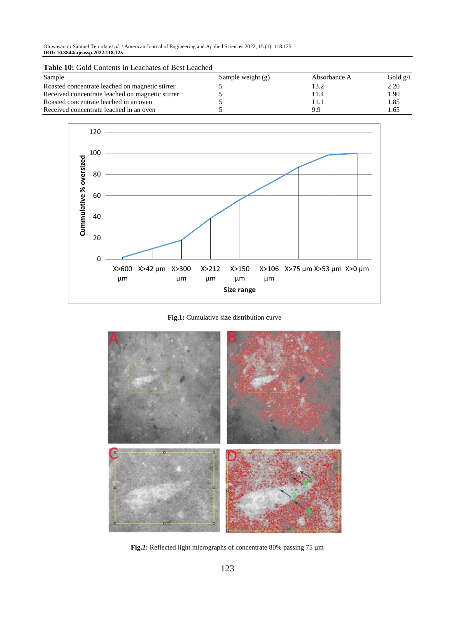Oluwasanmi Samuel Teniola *et al*. / American Journal of Engineering and Applied Sciences 2022, 15 (1): 118.125 **DOI: 10.3844/ajeassp.2022.118.125**

| Sample                                           | Sample weight $(g)$ | Absorbance A | Gold $g/t$ |
|--------------------------------------------------|---------------------|--------------|------------|
| Roasted concentrate leached on magnetic stirrer  |                     |              | 2.20       |
| Received concentrate leached on magnetic stirrer |                     | 1.4          | 1.90       |
| Roasted concentrate leached in an oven           |                     |              | l.85       |
| Received concentrate leached in an oven          |                     | 9.9          | . . 65     |



**Fig.1:** Cumulative size distribution curve



**Fig.2:** Reflected light micrographs of concentrate 80% passing 75 µm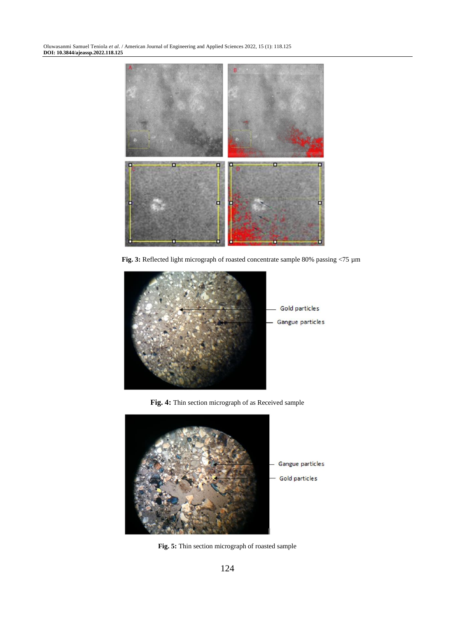Oluwasanmi Samuel Teniola *et al*. / American Journal of Engineering and Applied Sciences 2022, 15 (1): 118.125 **DOI: 10.3844/ajeassp.2022.118.125**



**Fig. 3:** Reflected light micrograph of roasted concentrate sample 80% passing <75 µm



**Fig. 4:** Thin section micrograph of as Received sample



**Fig. 5:** Thin section micrograph of roasted sample